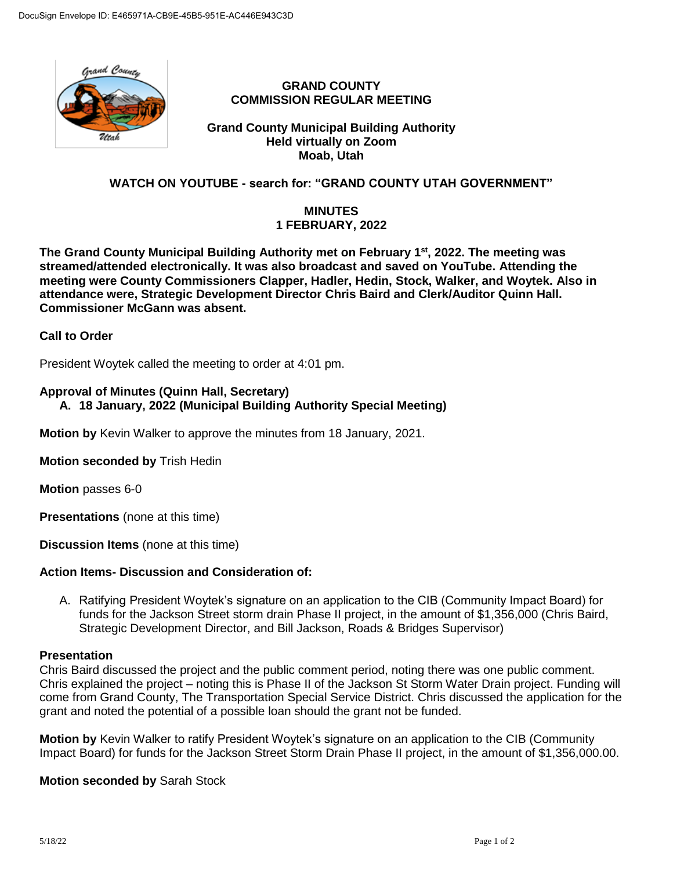

### **GRAND COUNTY COMMISSION REGULAR MEETING**

### **Grand County Municipal Building Authority Held virtually on Zoom Moab, Utah**

# **WATCH ON YOUTUBE - search for: "GRAND COUNTY UTAH GOVERNMENT"**

## **MINUTES 1 FEBRUARY, 2022**

**The Grand County Municipal Building Authority met on February 1st , 2022. The meeting was streamed/attended electronically. It was also broadcast and saved on YouTube. Attending the meeting were County Commissioners Clapper, Hadler, Hedin, Stock, Walker, and Woytek. Also in attendance were, Strategic Development Director Chris Baird and Clerk/Auditor Quinn Hall. Commissioner McGann was absent.** 

**Call to Order**

President Woytek called the meeting to order at 4:01 pm.

# **Approval of Minutes (Quinn Hall, Secretary)**

# **A. 18 January, 2022 (Municipal Building Authority Special Meeting)**

**Motion by** Kevin Walker to approve the minutes from 18 January, 2021.

**Motion seconded by** Trish Hedin

**Motion** passes 6-0

**Presentations** (none at this time)

**Discussion Items** (none at this time)

### **Action Items- Discussion and Consideration of:**

A. Ratifying President Woytek's signature on an application to the CIB (Community Impact Board) for funds for the Jackson Street storm drain Phase II project, in the amount of \$1,356,000 (Chris Baird, Strategic Development Director, and Bill Jackson, Roads & Bridges Supervisor)

#### **Presentation**

Chris Baird discussed the project and the public comment period, noting there was one public comment. Chris explained the project – noting this is Phase II of the Jackson St Storm Water Drain project. Funding will come from Grand County, The Transportation Special Service District. Chris discussed the application for the grant and noted the potential of a possible loan should the grant not be funded.

**Motion by** Kevin Walker to ratify President Woytek's signature on an application to the CIB (Community Impact Board) for funds for the Jackson Street Storm Drain Phase II project, in the amount of \$1,356,000.00.

**Motion seconded by** Sarah Stock